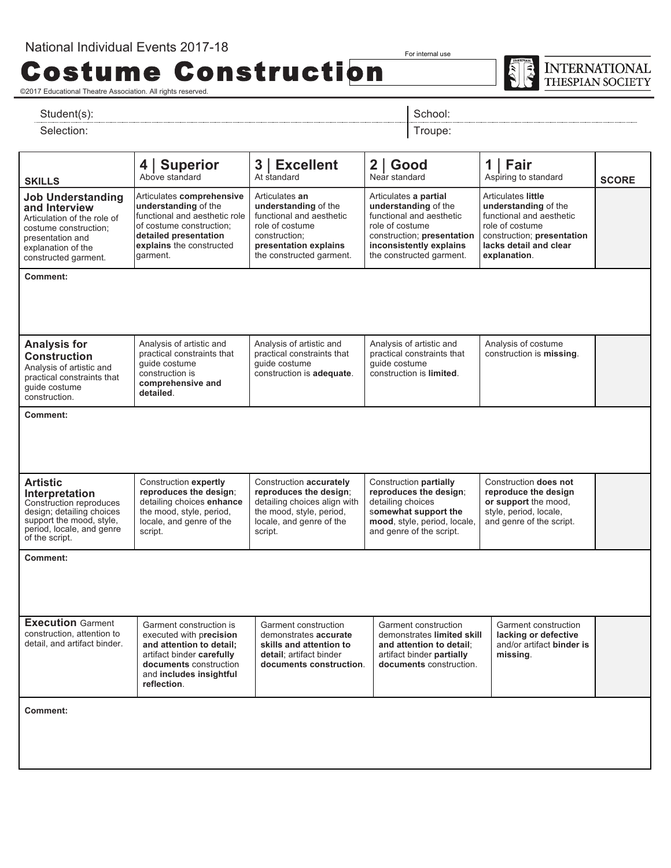Costume Construction

For internal use

**INTERNATIONAL** THESPIAN SOCIETY

©2017 Educational Theatre Association. All rights reserved.

Student(s): Student(s): School: Student(s): School: School: School: School: School: School: School: School: School: School: School: School: School: School: School: School: School: School: School: School: School: School: Sc

Selection: Troupe: The Selection: Troupe: The Selection: Troupe: The Selection: Troupe: The Selection: Troupe: The Selection: The Selection: The Selection: The Selection: The Selection: The Selection: The Selection: The Se

l **SKILLS 4** | **Superior** Above standard **3** | **Excellent** At standard **2** | **Good** Near standard **1** | **Fair** Aspiring to standard **SCORE Job Understanding and Interview**  Articulation of the role of costume construction; presentation and explanation of the constructed garment. Articulates **comprehensive understanding** of the functional and aesthetic role of costume construction; **detailed presentation explains** the constructed garment. Articulates **an understanding** of the functional and aesthetic role of costume construction; **presentation explains**  the constructed garment. Articulates **a partial understanding** of the functional and aesthetic role of costume construction; **presentation inconsistently explains**  the constructed garment. Articulates **little understanding** of the functional and aesthetic role of costume construction; **presentation lacks detail and clear explanation**. **Comment: Analysis for Construction**  Analysis of artistic and practical constraints that guide costume construction. Analysis of artistic and practical constraints that guide costume construction is **comprehensive and detailed**. Analysis of artistic and practical constraints that guide costume construction is **adequate**. Analysis of artistic and practical constraints that guide costume construction is **limited**. Analysis of costume construction is **missing**. **Comment: Artistic Interpretation**  Construction reproduces design; detailing choices support the mood, style, period, locale, and genre of the script. Construction **expertly reproduces the design**; detailing choices **enhance**  the mood, style, period, locale, and genre of the script. Construction **accurately reproduces the design**; detailing choices align with the mood, style, period, locale, and genre of the script. Construction **partially reproduces the design**; detailing choices s**omewhat support the mood**, style, period, locale, and genre of the script. Construction **does not reproduce the design or support** the mood, style, period, locale, and genre of the script. **Comment: Execution** Garment construction, attention to detail, and artifact binder. Garment construction is executed with p**recision and attention to detail;**  artifact binder **carefully documents** construction and **includes insightful reflection**. Garment construction demonstrates **accurate skills and attention to detail**; artifact binder **documents construction**. Garment construction demonstrates **limited skill and attention to detail**; artifact binder **partially documents** construction. Garment construction **lacking or defective**  and/or artifact **binder is missing**. **Comment:**